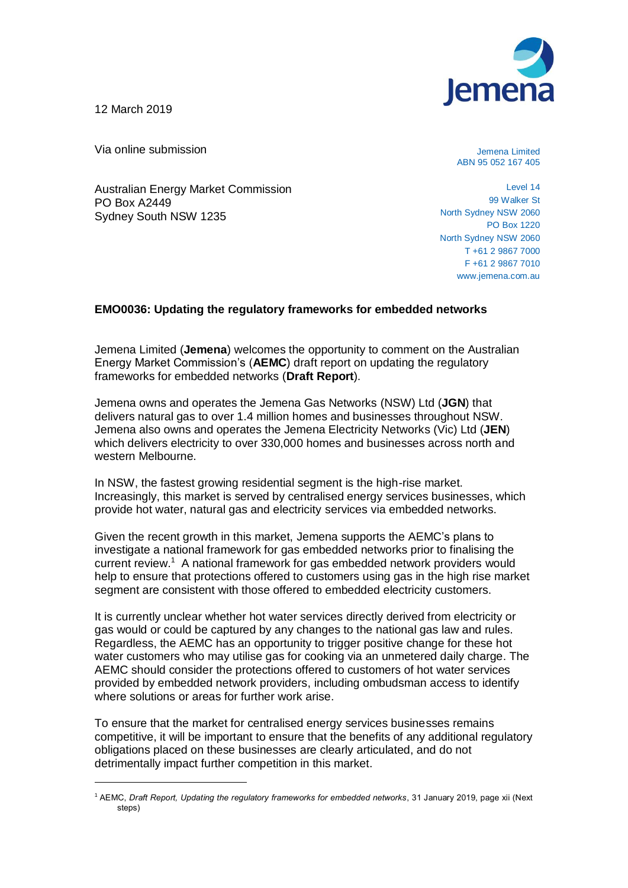

12 March 2019

Via online submission

Australian Energy Market Commission PO Box A2449 Sydney South NSW 1235

Jemena Limited ABN 95 052 167 405

Level 14 99 Walker St North Sydney NSW 2060 PO Box 1220 North Sydney NSW 2060 T +61 2 9867 7000 F +61 2 9867 7010 www.jemena.com.au

## **EMO0036: Updating the regulatory frameworks for embedded networks**

Jemena Limited (**Jemena**) welcomes the opportunity to comment on the Australian Energy Market Commission's (**AEMC**) draft report on updating the regulatory frameworks for embedded networks (**Draft Report**).

Jemena owns and operates the Jemena Gas Networks (NSW) Ltd (**JGN**) that delivers natural gas to over 1.4 million homes and businesses throughout NSW. Jemena also owns and operates the Jemena Electricity Networks (Vic) Ltd (**JEN**) which delivers electricity to over 330,000 homes and businesses across north and western Melbourne.

In NSW, the fastest growing residential segment is the high-rise market. Increasingly, this market is served by centralised energy services businesses, which provide hot water, natural gas and electricity services via embedded networks.

Given the recent growth in this market, Jemena supports the AEMC's plans to investigate a national framework for gas embedded networks prior to finalising the current review.<sup>1</sup> A national framework for gas embedded network providers would help to ensure that protections offered to customers using gas in the high rise market segment are consistent with those offered to embedded electricity customers.

It is currently unclear whether hot water services directly derived from electricity or gas would or could be captured by any changes to the national gas law and rules. Regardless, the AEMC has an opportunity to trigger positive change for these hot water customers who may utilise gas for cooking via an unmetered daily charge. The AEMC should consider the protections offered to customers of hot water services provided by embedded network providers, including ombudsman access to identify where solutions or areas for further work arise.

To ensure that the market for centralised energy services businesses remains competitive, it will be important to ensure that the benefits of any additional regulatory obligations placed on these businesses are clearly articulated, and do not detrimentally impact further competition in this market.

<sup>1</sup> AEMC, *Draft Report, Updating the regulatory frameworks for embedded networks*, 31 January 2019, page xii (Next steps)